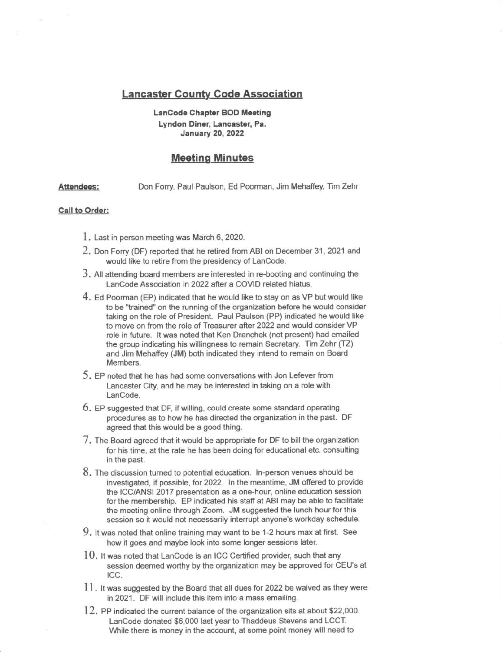## **Lancaster County Code Association**

## LanCode Chapter BOD Meeting Lyndon Diner, Lancaster, Pa. January 20, 2022

## **Meeting Minutes**

Attendees: Don Forry, Paul Paulson, Ed Poorman, Jim Mehaffey, Tim Zehr

## Call to Order:

- 1. Last in person meeting was March 6, 2020.
- 2. Don Forry (DF) reported that he retired from ABI on December 31, 2021 and would like to retire from the presidency of LanCode.
- $3.$  All attending board members are interested in re-booting and continuing the LanCode Association in 2022 after a COVID related hiatus.
- 4. Ed Poorman (EP) indicated that he would like to stay on as VP but would like to be "trained" on the running of the organization before he would consider taking on the role of President. Paul Paulson (PP) indicated he would like to move on from the role of Treasurer after 2022 and would consider VP role in future. It was noted that Ken Dranchek (not present) had emailed the group indicating his willingness to remain Secretary. Tim Zehr  $(TZ)$ and Jim Mehaffey (JM) both indicated they intend to remain on Board Members.
- 5, EP noted that he has had some conversations with Jon Lefever from Lancaster City, and he may be interested in takihg on a role with LanCode.
- $6.$  EP suggested that DF, if willing, could create some standard operating procedures as to how he has directed the organization in the past. DF agreed that this would be a good thing.
- 7. The Board agreed that it would be appropriate for DF to bill the organization for his time, at the rate he has been doing for educational etc. consulting in the past.
- 8. The discussion turned to potential education. In-person venues should be investigated, if possible, for 2022. In the meantime, JM offered to provide the ICC/ANSI 2017 presentation as a one-hour, online education session for the membership. EP indicated his stafi at ABI may be able to facilitate the meeting online through Zoom. JM suggested the lunch hour for this session so it would not necessarily interrupt anyone's workday schedule.
- 9. It was noted that online training may want to be 1-2 hours max at first. See how it goes and maybe look into some longer sessions later.
- $10.$  It was noted that LanCode is an ICC Certified provider, such that any session deemed worthy by the organization may be approved for CEU'S at ICC.
- 11. It was suggested by the Board that all dues for 2022 be waived as they were in 2021. DF will include this item into a mass emailing.
- $12.$  PP indicated the current balance of the organization sits at about \$22,000. LanCode donated \$6,000 last year to Thaddeus Stevens and LCCT. While there is money in the account, at some point money will need to